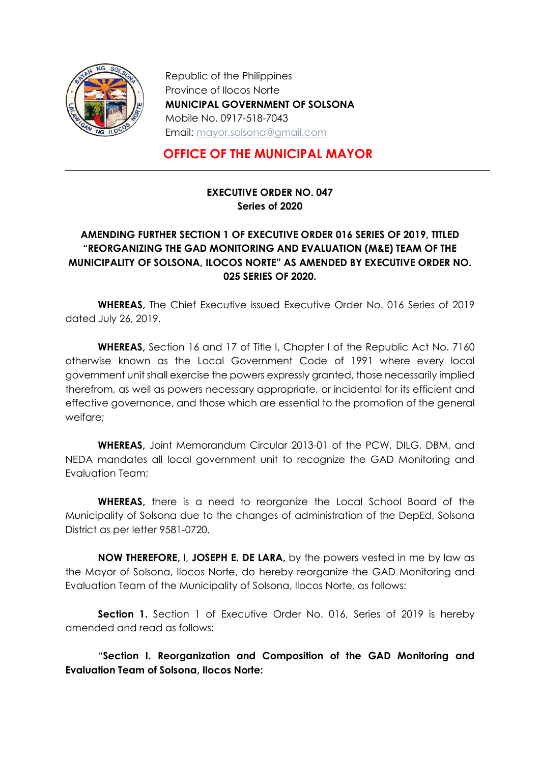

Republic of the Philippines Province of Ilocos Norte MUNICIPAL GOVERNMENT OF SOLSONA Mobile No. 0917-518-7043 Email: mayor.solsona@gmail.com

## OFFICE OF THE MUNICIPAL MAYOR

## EXECUTIVE ORDER NO. 047 Series of 2020

## AMENDING FURTHER SECTION 1 OF EXECUTIVE ORDER 016 SERIES OF 2019, TITLED "REORGANIZING THE GAD MONITORING AND EVALUATION (M&E) TEAM OF THE MUNICIPALITY OF SOLSONA, ILOCOS NORTE" AS AMENDED BY EXECUTIVE ORDER NO. 025 SERIES OF 2020.

 WHEREAS, The Chief Executive issued Executive Order No. 016 Series of 2019 dated July 26, 2019.

WHEREAS, Section 16 and 17 of Title I, Chapter I of the Republic Act No. 7160 otherwise known as the Local Government Code of 1991 where every local government unit shall exercise the powers expressly granted, those necessarily implied therefrom, as well as powers necessary appropriate, or incidental for its efficient and effective governance, and those which are essential to the promotion of the general welfare;

WHEREAS, Joint Memorandum Circular 2013-01 of the PCW, DILG, DBM, and NEDA mandates all local government unit to recognize the GAD Monitoring and Evaluation Team;

WHEREAS, there is a need to reorganize the Local School Board of the Municipality of Solsona due to the changes of administration of the DepEd, Solsona District as per letter 9581-0720.

NOW THEREFORE, I, JOSEPH E. DE LARA, by the powers vested in me by law as the Mayor of Solsona, Ilocos Norte, do hereby reorganize the GAD Monitoring and Evaluation Team of the Municipality of Solsona, Ilocos Norte, as follows:

Section 1. Section 1 of Executive Order No. 016, Series of 2019 is hereby amended and read as follows:

"Section I. Reorganization and Composition of the GAD Monitoring and Evaluation Team of Solsona, Ilocos Norte: